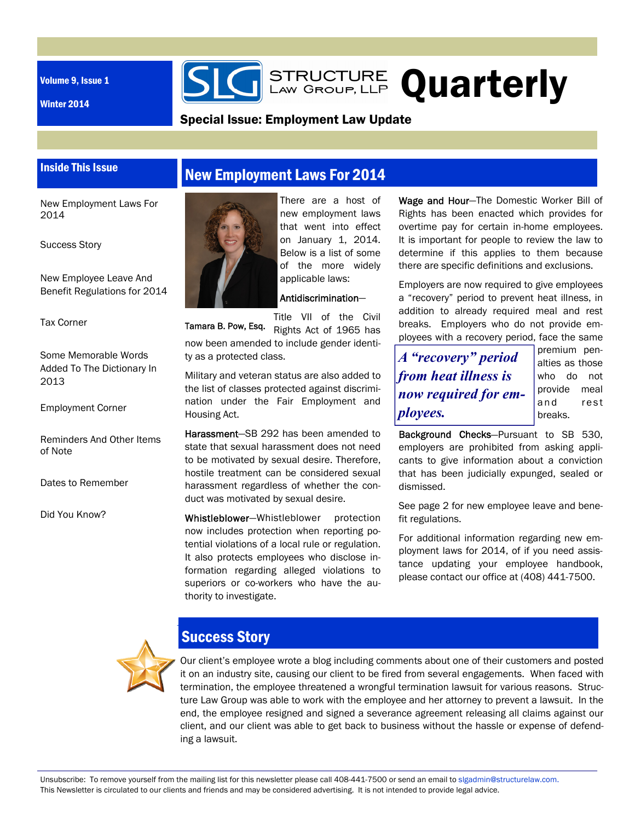Volume 9, Issue 1

Winter 2014

**SIG** STRUCTURE Quarterly

### Special Issue: Employment Law Update

### Inside This Issue

## New Employment Laws For 2014

New Employment Laws For 2014

#### Success Story

New Employee Leave And Benefit Regulations for 2014

Tax Corner

Some Memorable Words Added To The Dictionary In 2013

Employment Corner

Reminders And Other Items of Note

Dates to Remember

Did You Know?



There are a host of new employment laws that went into effect on January 1, 2014. Below is a list of some of the more widely applicable laws:

#### Antidiscrimination—

Title VII of the Civil Rights Act of 1965 has now been amended to include gender identity as a protected class. Tamara B. Pow, Esq.

Military and veteran status are also added to the list of classes protected against discrimination under the Fair Employment and Housing Act.

Harassment—SB 292 has been amended to state that sexual harassment does not need to be motivated by sexual desire. Therefore, hostile treatment can be considered sexual harassment regardless of whether the conduct was motivated by sexual desire.

Whistleblower-Whistleblower protection now includes protection when reporting potential violations of a local rule or regulation. It also protects employees who disclose information regarding alleged violations to superiors or co-workers who have the authority to investigate.

Wage and Hour—The Domestic Worker Bill of Rights has been enacted which provides for overtime pay for certain in-home employees. It is important for people to review the law to determine if this applies to them because there are specific definitions and exclusions.

Employers are now required to give employees a "recovery" period to prevent heat illness, in addition to already required meal and rest breaks. Employers who do not provide employees with a recovery period, face the same

*A "recovery" period from heat illness is now required for employees.* 

premium penalties as those who do not provide meal and rest breaks.

Background Checks—Pursuant to SB 530, employers are prohibited from asking applicants to give information about a conviction that has been judicially expunged, sealed or dismissed.

See page 2 for new employee leave and benefit regulations.

For additional information regarding new employment laws for 2014, of if you need assistance updating your employee handbook, please contact our office at (408) 441-7500.



# Success Story

Our client's employee wrote a blog including comments about one of their customers and posted it on an industry site, causing our client to be fired from several engagements. When faced with termination, the employee threatened a wrongful termination lawsuit for various reasons. Structure Law Group was able to work with the employee and her attorney to prevent a lawsuit. In the end, the employee resigned and signed a severance agreement releasing all claims against our client, and our client was able to get back to business without the hassle or expense of defending a lawsuit.

Unsubscribe: To remove yourself from the mailing list for this newsletter please call 408-441-7500 or send an email to slgadmin@structurelaw.com. This Newsletter is circulated to our clients and friends and may be considered advertising. It is not intended to provide legal advice.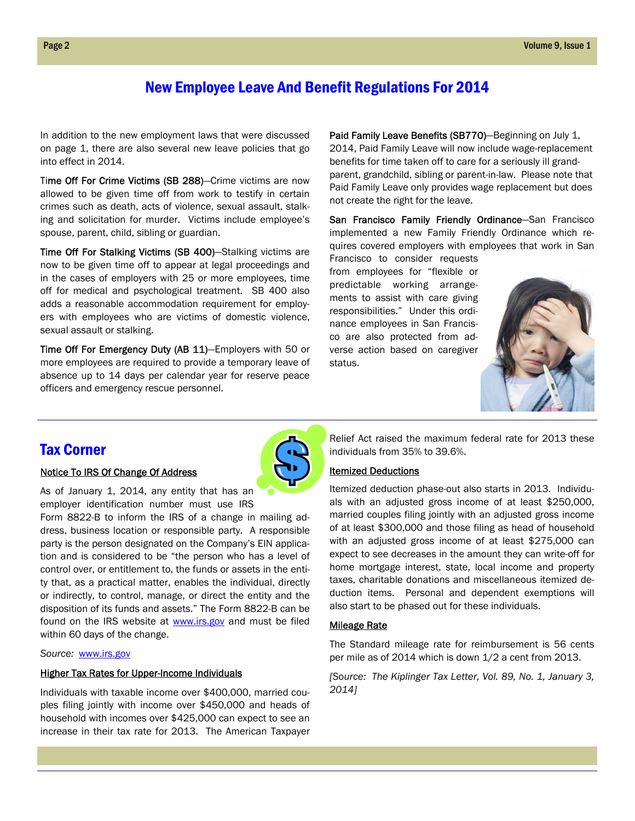## New Employee Leave And Benefit Regulations For 2014

In addition to the new employment laws that were discussed on page 1, there are also several new leave policies that go into effect in 2014.

Time Off For Crime Victims (SB 288)—Crime victims are now allowed to be given time off from work to testify in certain crimes such as death, acts of violence, sexual assault, stalking and solicitation for murder. Victims include employee's spouse, parent, child, sibling or guardian.

Time Off For Stalking Victims (SB 400)—Stalking victims are now to be given time off to appear at legal proceedings and in the cases of employers with 25 or more employees, time off for medical and psychological treatment. SB 400 also adds a reasonable accommodation requirement for employers with employees who are victims of domestic violence, sexual assault or stalking.

Time Off For Emergency Duty (AB 11)—Employers with 50 or more employees are required to provide a temporary leave of absence up to 14 days per calendar year for reserve peace officers and emergency rescue personnel.

Paid Family Leave Benefits (SB770)-Beginning on July 1, 2014, Paid Family Leave will now include wage-replacement benefits for time taken off to care for a seriously ill grandparent, grandchild, sibling or parent-in-law. Please note that Paid Family Leave only provides wage replacement but does not create the right for the leave.

San Francisco Family Friendly Ordinance-San Francisco implemented a new Family Friendly Ordinance which requires covered employers with employees that work in San

Francisco to consider requests from employees for "flexible or predictable working arrangements to assist with care giving responsibilities." Under this ordinance employees in San Francisco are also protected from adverse action based on caregiver status.



### Tax Corner

#### Notice To IRS Of Change Of Address



As of January 1, 2014, any entity that has an employer identification number must use IRS

Form 8822-B to inform the IRS of a change in mailing address, business location or responsible party. A responsible party is the person designated on the Company's EIN application and is considered to be "the person who has a level of control over, or entitlement to, the funds or assets in the entity that, as a practical matter, enables the individual, directly or indirectly, to control, manage, or direct the entity and the disposition of its funds and assets." The Form 8822-B can be found on the IRS website at www.irs.gov and must be filed within 60 days of the change.

*Source:* www.irs.gov

#### **Higher Tax Rates for Upper-Income Individuals**

Individuals with taxable income over \$400,000, married couples filing jointly with income over \$450,000 and heads of household with incomes over \$425,000 can expect to see an increase in their tax rate for 2013. The American Taxpayer

Relief Act raised the maximum federal rate for 2013 these individuals from 35% to 39.6%.

#### Itemized Deductions

Itemized deduction phase-out also starts in 2013. Individuals with an adjusted gross income of at least \$250,000, married couples filing jointly with an adjusted gross income of at least \$300,000 and those filing as head of household with an adjusted gross income of at least \$275,000 can expect to see decreases in the amount they can write-off for home mortgage interest, state, local income and property taxes, charitable donations and miscellaneous itemized deduction items. Personal and dependent exemptions will also start to be phased out for these individuals.

#### Mileage Rate

The Standard mileage rate for reimbursement is 56 cents per mile as of 2014 which is down 1/2 a cent from 2013.

*[S*o*urce: The Kiplinger Tax Letter, Vol. 89, No. 1, January 3, 2014]*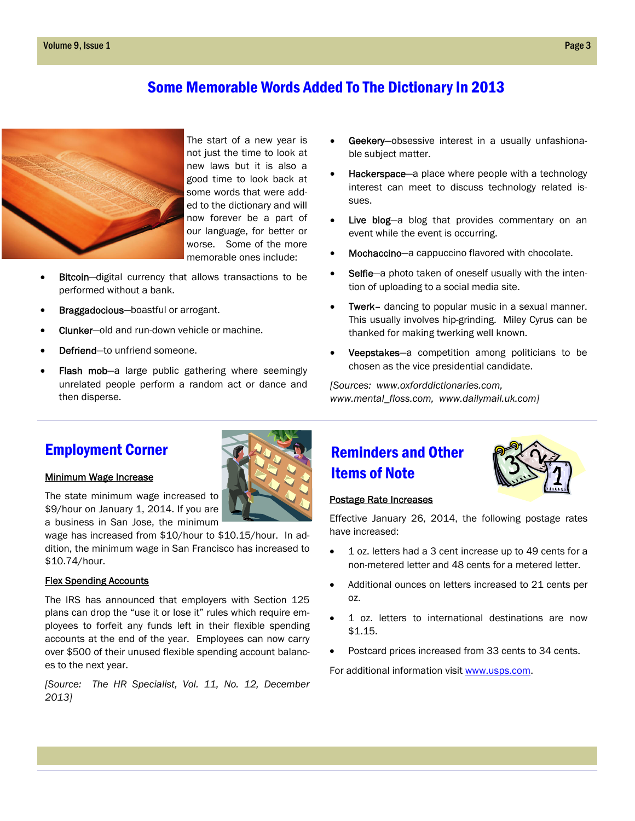## Some Memorable Words Added To The Dictionary In 2013



The start of a new year is not just the time to look at new laws but it is also a good time to look back at some words that were added to the dictionary and will now forever be a part of our language, for better or worse. Some of the more memorable ones include:

- Bitcoin—digital currency that allows transactions to be performed without a bank.
- Braggadocious—boastful or arrogant.
- Clunker—old and run-down vehicle or machine.
- Defriend—to unfriend someone.
- Flash mob-a large public gathering where seemingly unrelated people perform a random act or dance and then disperse.
- Geekery-obsessive interest in a usually unfashionable subject matter.
- Hackerspace—a place where people with a technology interest can meet to discuss technology related issues.
- Live blog-a blog that provides commentary on an event while the event is occurring.
- Mochaccino—a cappuccino flavored with chocolate.
- Selfie—a photo taken of oneself usually with the intention of uploading to a social media site.
- Twerk– dancing to popular music in a sexual manner. This usually involves hip-grinding. Miley Cyrus can be thanked for making twerking well known.
- Veepstakes—a competition among politicians to be chosen as the vice presidential candidate.

*[Sources: www.oxforddictionaries.com, www.mental\_floss.com, www.dailymail.uk.com]* 

## Employment Corner



#### Minimum Wage Increase

The state minimum wage increased to \$9/hour on January 1, 2014. If you are a business in San Jose, the minimum

wage has increased from \$10/hour to \$10.15/hour. In addition, the minimum wage in San Francisco has increased to \$10.74/hour.

#### Flex Spending Accounts

The IRS has announced that employers with Section 125 plans can drop the "use it or lose it" rules which require employees to forfeit any funds left in their flexible spending accounts at the end of the year. Employees can now carry over \$500 of their unused flexible spending account balances to the next year.

*[Source: The HR Specialist, Vol. 11, No. 12, December 2013]* 

# Reminders and Other Items of Note



#### Postage Rate Increases

Effective January 26, 2014, the following postage rates have increased:

- 1 oz. letters had a 3 cent increase up to 49 cents for a non-metered letter and 48 cents for a metered letter.
- Additional ounces on letters increased to 21 cents per oz.
- 1 oz. letters to international destinations are now \$1.15.
- Postcard prices increased from 33 cents to 34 cents.

For additional information visit www.usps.com.